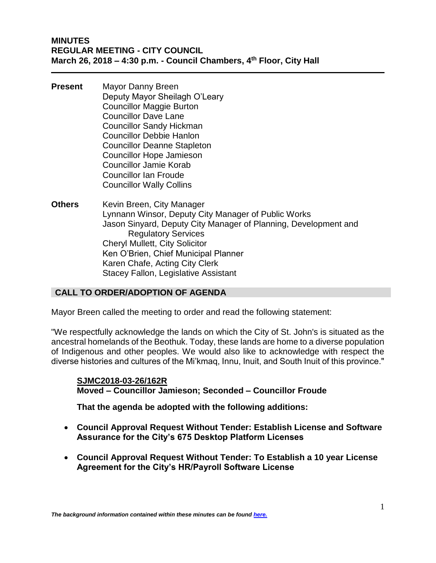- **Present** Mayor Danny Breen Deputy Mayor Sheilagh O'Leary Councillor Maggie Burton Councillor Dave Lane Councillor Sandy Hickman Councillor Debbie Hanlon Councillor Deanne Stapleton Councillor Hope Jamieson Councillor Jamie Korab Councillor Ian Froude Councillor Wally Collins
- **Others** Kevin Breen, City Manager Lynnann Winsor, Deputy City Manager of Public Works Jason Sinyard, Deputy City Manager of Planning, Development and Regulatory Services Cheryl Mullett, City Solicitor Ken O'Brien, Chief Municipal Planner Karen Chafe, Acting City Clerk Stacey Fallon, Legislative Assistant

## **CALL TO ORDER/ADOPTION OF AGENDA**

Mayor Breen called the meeting to order and read the following statement:

"We respectfully acknowledge the lands on which the City of St. John's is situated as the ancestral homelands of the Beothuk. Today, these lands are home to a diverse population of Indigenous and other peoples. We would also like to acknowledge with respect the diverse histories and cultures of the Mi'kmaq, Innu, Inuit, and South Inuit of this province."

### **SJMC2018-03-26/162R Moved – Councillor Jamieson; Seconded – Councillor Froude**

**That the agenda be adopted with the following additions:**

- **Council Approval Request Without Tender: Establish License and Software Assurance for the City's 675 Desktop Platform Licenses**
- **Council Approval Request Without Tender: To Establish a 10 year License Agreement for the City's HR/Payroll Software License**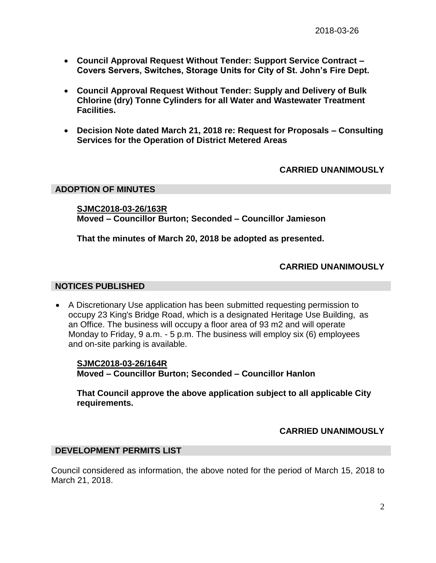- **Council Approval Request Without Tender: Support Service Contract – Covers Servers, Switches, Storage Units for City of St. John's Fire Dept.**
- **Council Approval Request Without Tender: Supply and Delivery of Bulk Chlorine (dry) Tonne Cylinders for all Water and Wastewater Treatment Facilities.**
- **Decision Note dated March 21, 2018 re: Request for Proposals – Consulting Services for the Operation of District Metered Areas**

# **CARRIED UNANIMOUSLY**

### **ADOPTION OF MINUTES**

**SJMC2018-03-26/163R Moved – Councillor Burton; Seconded – Councillor Jamieson**

**That the minutes of March 20, 2018 be adopted as presented.**

## **CARRIED UNANIMOUSLY**

### **NOTICES PUBLISHED**

• A Discretionary Use application has been submitted requesting permission to occupy 23 King's Bridge Road, which is a designated Heritage Use Building, as an Office. The business will occupy a floor area of 93 m2 and will operate Monday to Friday, 9 a.m. - 5 p.m. The business will employ six (6) employees and on-site parking is available.

**SJMC2018-03-26/164R Moved – Councillor Burton; Seconded – Councillor Hanlon**

**That Council approve the above application subject to all applicable City requirements.**

# **CARRIED UNANIMOUSLY**

## **DEVELOPMENT PERMITS LIST**

Council considered as information, the above noted for the period of March 15, 2018 to March 21, 2018.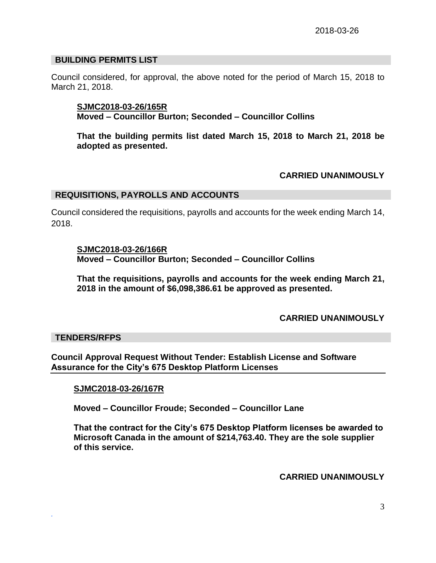## **BUILDING PERMITS LIST**

Council considered, for approval, the above noted for the period of March 15, 2018 to March 21, 2018.

**SJMC2018-03-26/165R Moved – Councillor Burton; Seconded – Councillor Collins**

**That the building permits list dated March 15, 2018 to March 21, 2018 be adopted as presented.**

### **CARRIED UNANIMOUSLY**

#### **REQUISITIONS, PAYROLLS AND ACCOUNTS**

Council considered the requisitions, payrolls and accounts for the week ending March 14, 2018.

### **SJMC2018-03-26/166R**

**Moved – Councillor Burton; Seconded – Councillor Collins**

**That the requisitions, payrolls and accounts for the week ending March 21, 2018 in the amount of \$6,098,386.61 be approved as presented.**

## **CARRIED UNANIMOUSLY**

### **TENDERS/RFPS**

*.*

**Council Approval Request Without Tender: Establish License and Software Assurance for the City's 675 Desktop Platform Licenses**

### **SJMC2018-03-26/167R**

**Moved – Councillor Froude; Seconded – Councillor Lane**

**That the contract for the City's 675 Desktop Platform licenses be awarded to Microsoft Canada in the amount of \$214,763.40. They are the sole supplier of this service.**

**CARRIED UNANIMOUSLY**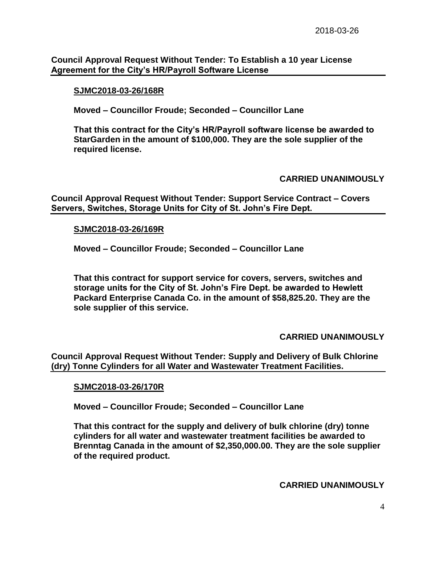**Council Approval Request Without Tender: To Establish a 10 year License Agreement for the City's HR/Payroll Software License**

### **SJMC2018-03-26/168R**

**Moved – Councillor Froude; Seconded – Councillor Lane**

**That this contract for the City's HR/Payroll software license be awarded to StarGarden in the amount of \$100,000. They are the sole supplier of the required license.**

### **CARRIED UNANIMOUSLY**

**Council Approval Request Without Tender: Support Service Contract – Covers Servers, Switches, Storage Units for City of St. John's Fire Dept.**

### **SJMC2018-03-26/169R**

**Moved – Councillor Froude; Seconded – Councillor Lane**

**That this contract for support service for covers, servers, switches and storage units for the City of St. John's Fire Dept. be awarded to Hewlett Packard Enterprise Canada Co. in the amount of \$58,825.20. They are the sole supplier of this service.**

## **CARRIED UNANIMOUSLY**

**Council Approval Request Without Tender: Supply and Delivery of Bulk Chlorine (dry) Tonne Cylinders for all Water and Wastewater Treatment Facilities.** 

### **SJMC2018-03-26/170R**

**Moved – Councillor Froude; Seconded – Councillor Lane**

**That this contract for the supply and delivery of bulk chlorine (dry) tonne cylinders for all water and wastewater treatment facilities be awarded to Brenntag Canada in the amount of \$2,350,000.00. They are the sole supplier of the required product.**

**CARRIED UNANIMOUSLY**